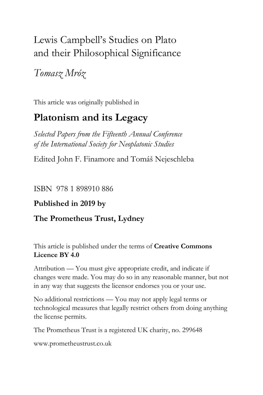# Lewis Campbell's Studies on Plato and their Philosophical Significance

## *Tomasz Mróz*

This article was originally published in

## **Platonism and its Legacy**

*Selected Papers from the Fifteenth Annual Conference of the International Society for Neoplatonic Studies*

Edited John F. Finamore and Tomáš Nejeschleba

#### ISBN 978 1 898910 886

### **Published in 2019 by**

### **The Prometheus Trust, Lydney**

This article is published under the terms of **Creative Commons Licence BY 4.0**

Attribution — You must give appropriate credit, and indicate if changes were made. You may do so in any reasonable manner, but not in any way that suggests the licensor endorses you or your use.

No additional restrictions — You may not apply legal terms or technological measures that legally restrict others from doing anything the license permits.

The Prometheus Trust is a registered UK charity, no. 299648

[www.prometheustrust.co.uk](http://www.prometheustrust.co.uk/)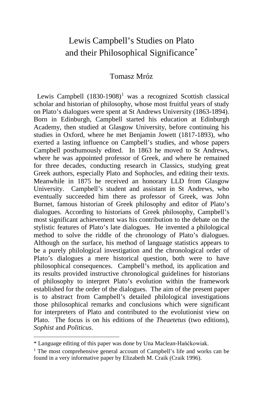### Lewis Campbell's Studies on Plato and their Philosophical Significance[\\*](#page-1-0)

#### Tomasz Mróz

Lewis Campbell  $(1830-1908)^1$  $(1830-1908)^1$  $(1830-1908)^1$  was a recognized Scottish classical scholar and historian of philosophy, whose most fruitful years of study on Plato's dialogues were spent at St Andrews University (1863-1894). Born in Edinburgh, Campbell started his education at Edinburgh Academy, then studied at Glasgow University, before continuing his studies in Oxford, where he met Benjamin Jowett (1817-1893), who exerted a lasting influence on Campbell's studies, and whose papers Campbell posthumously edited. In 1863 he moved to St Andrews, where he was appointed professor of Greek, and where he remained for three decades, conducting research in Classics, studying great Greek authors, especially Plato and Sophocles, and editing their texts. Meanwhile in 1875 he received an honorary LLD from Glasgow University. Campbell's student and assistant in St Andrews, who eventually succeeded him there as professor of Greek, was John Burnet, famous historian of Greek philosophy and editor of Plato's dialogues. According to historians of Greek philosophy, Campbell's most significant achievement was his contribution to the debate on the stylistic features of Plato's late dialogues. He invented a philological method to solve the riddle of the chronology of Plato's dialogues. Although on the surface, his method of language statistics appears to be a purely philological investigation and the chronological order of Plato's dialogues a mere historical question, both were to have philosophical consequences. Campbell's method, its application and its results provided instructive chronological guidelines for historians of philosophy to interpret Plato's evolution within the framework established for the order of the dialogues. The aim of the present paper is to abstract from Campbell's detailed philological investigations those philosophical remarks and conclusions which were significant for interpreters of Plato and contributed to the evolutionist view on Plato. The focus is on his editions of the *Theaetetus* (two editions), *Sophist* and *Politicus*.

<span id="page-1-0"></span>\* Language editing of this paper was done by Una Maclean-Hańćkowiak.

<span id="page-1-1"></span><sup>&</sup>lt;sup>1</sup> The most comprehensive general account of Campbell's life and works can be found in a very informative paper by Elizabeth M. Craik (Craik 1996).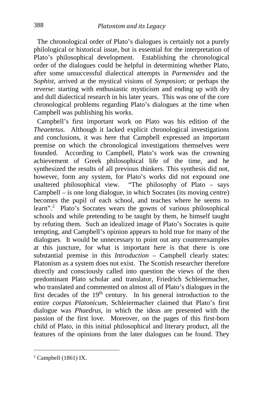The chronological order of Plato's dialogues is certainly not a purely philological or historical issue, but is essential for the interpretation of Plato's philosophical development. Establishing the chronological order of the dialogues could be helpful in determining whether Plato, after some unsuccessful dialectical attempts in *Parmenides* and the *Sophist*, arrived at the mystical visions of *Symposion*; or perhaps the reverse: starting with enthusiastic mysticism and ending up with dry and dull dialectical research in his later years. This was one of the core chronological problems regarding Plato's dialogues at the time when Campbell was publishing his works.

 Campbell's first important work on Plato was his edition of the *Theaetetus*. Although it lacked explicit chronological investigations and conclusions, it was here that Campbell expressed an important premise on which the chronological investigations themselves were founded. According to Campbell, Plato's work was the crowning achievement of Greek philosophical life of the time, and he synthesized the results of all previous thinkers. This synthesis did not, however, form any system, for Plato's works did not expound one unaltered philosophical view. "The philosophy of Plato – says Campbell – is one long dialogue, in which Socrates (its moving centre) becomes the pupil of each school, and teaches where he seems to learn".[2](#page-2-0) Plato's Socrates wears the gowns of various philosophical schools and while pretending to be taught by them, he himself taught by refuting them. Such an idealized image of Plato's Socrates is quite tempting, and Campbell's opinion appears to hold true for many of the dialogues. It would be unnecessary to point out any counterexamples at this juncture, for what is important here is that there is one substantial premise in this *Introduction* – Campbell clearly states: Platonism as a system does not exist. The Scottish researcher therefore directly and consciously called into question the views of the then predominant Plato scholar and translator, Friedrich Schleiermacher, who translated and commented on almost all of Plato's dialogues in the first decades of the  $19<sup>th</sup>$  century. In his general introduction to the entire *corpus Platonicum*, Schleiermacher claimed that Plato's first dialogue was *Phaedrus*, in which the ideas are presented with the passion of the first love. Moreover, on the pages of this first-born child of Plato, in this initial philosophical and literary product, all the features of the opinions from the later dialogues can be found. They

<span id="page-2-0"></span><sup>2</sup> Campbell (1861) IX.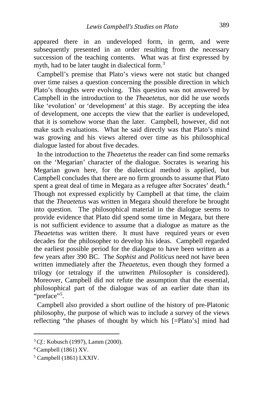appeared there in an undeveloped form, in germ, and were subsequently presented in an order resulting from the necessary succession of the teaching contents. What was at first expressed by myth, had to be later taught in dialectical form.<sup>[3](#page-3-0)</sup>

 Campbell's premise that Plato's views were not static but changed over time raises a question concerning the possible direction in which Plato's thoughts were evolving. This question was not answered by Campbell in the introduction to the *Theaetetus*, nor did he use words like 'evolution' or 'development' at this stage. By accepting the idea of development, one accepts the view that the earlier is undeveloped, that it is somehow worse than the later. Campbell, however, did not make such evaluations. What he said directly was that Plato's mind was growing and his views altered over time as his philosophical dialogue lasted for about five decades.

 In the introduction to the *Theaetetus* the reader can find some remarks on the 'Megarian' character of the dialogue. Socrates is wearing his Megarian gown here, for the dialectical method is applied, but Campbell concludes that there are no firm grounds to assume that Plato spent a great deal of time in Megara as a refugee after Socrates' death.<sup>[4](#page-3-1)</sup> Though not expressed explicitly by Campbell at that time, the claim that the *Theaetetus* was written in Megara should therefore be brought into question. The philosophical material in the dialogue seems to provide evidence that Plato did spend some time in Megara, but there is not sufficient evidence to assume that a dialogue as mature as the *Theaetetus* was written there. It must have required years or even decades for the philosopher to develop his ideas. Campbell regarded the earliest possible period for the dialogue to have been written as a few years after 390 BC. The *Sophist* and *Politicus* need not have been written immediately after the *Theaetetus*, even though they formed a trilogy (or tetralogy if the unwritten *Philosopher* is considered). Moreover, Campbell did not refute the assumption that the essential, philosophical part of the dialogue was of an earlier date than its "preface"<sup>[5](#page-3-2)</sup>.

 Campbell also provided a short outline of the history of pre-Platonic philosophy, the purpose of which was to include a survey of the views reflecting "the phases of thought by which his [=Plato's] mind had

<span id="page-3-0"></span><sup>3</sup> *Cf.*: Kobusch (1997), Lamm (2000).

<span id="page-3-1"></span><sup>4</sup> Campbell (1861) XV.

<span id="page-3-2"></span><sup>5</sup> Campbell (1861) LXXIV.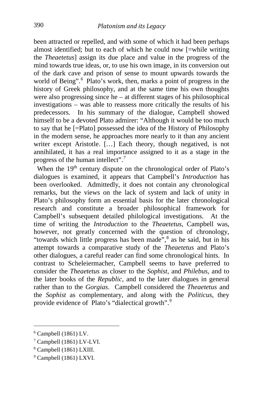been attracted or repelled, and with some of which it had been perhaps almost identified; but to each of which he could now [=while writing the *Theaetetus*] assign its due place and value in the progress of the mind towards true ideas, or, to use his own image, in its conversion out of the dark cave and prison of sense to mount upwards towards the world of Being".<sup>[6](#page-4-0)</sup> Plato's work, then, marks a point of progress in the history of Greek philosophy, and at the same time his own thoughts were also progressing since he – at different stages of his philosophical investigations – was able to reassess more critically the results of his predecessors. In his summary of the dialogue, Campbell showed himself to be a devoted Plato admirer: "Although it would be too much to say that he [=Plato] possessed the idea of the History of Philosophy in the modern sense, he approaches more nearly to it than any ancient writer except Aristotle. [...] Each theory, though negatived, is not annihilated, it has a real importance assigned to it as a stage in the progress of the human intellect".[7](#page-4-1)

When the  $19<sup>th</sup>$  century dispute on the chronological order of Plato's dialogues is examined, it appears that Campbell's *Introduction* has been overlooked. Admittedly, it does not contain any chronological remarks, but the views on the lack of system and lack of unity in Plato's philosophy form an essential basis for the later chronological research and constitute a broader philosophical framework for Campbell's subsequent detailed philological investigations. At the time of writing the *Introduction* to the *Theaetetus*, Campbell was, however, not greatly concerned with the question of chronology, "towards which little progress has been made",<sup>[8](#page-4-2)</sup> as he said, but in his attempt towards a comparative study of the *Theaetetus* and Plato's other dialogues, a careful reader can find some chronological hints. In contrast to Scheleiermacher, Campbell seems to have preferred to consider the *Theaetetus* as closer to the *Sophist*, and *Philebus*, and to the later books of the *Republic*, and to the later dialogues in general rather than to the *Gorgias*. Campbell considered the *Theaetetus* and the *Sophist* as complementary, and along with the *Politicus*, they provide evidence of Plato's "dialectical growth".[9](#page-4-3)

<span id="page-4-0"></span> $6$  Campbell (1861) LV.

<span id="page-4-1"></span><sup>7</sup> Campbell (1861) LV-LVI.

<span id="page-4-2"></span><sup>8</sup> Campbell (1861) LXIII.

<span id="page-4-3"></span><sup>9</sup> Campbell (1861) LXVI.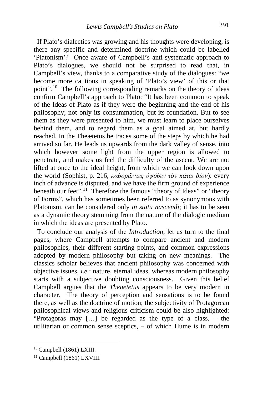If Plato's dialectics was growing and his thoughts were developing, is there any specific and determined doctrine which could be labelled 'Platonism'? Once aware of Campbell's anti-systematic approach to Plato's dialogues, we should not be surprised to read that, in Campbell's view, thanks to a comparative study of the dialogues: "we become more cautious in speaking of 'Plato's view' of this or that point".[10](#page-5-0) The following corresponding remarks on the theory of ideas confirm Campbell's approach to Plato: "It has been common to speak of the Ideas of Plato as if they were the beginning and the end of his philosophy; not only its consummation, but its foundation. But to see them as they were presented to him, we must learn to place ourselves behind them, and to regard them as a goal aimed at, but hardly reached. In the Theætetus he traces some of the steps by which he had arrived so far. He leads us upwards from the dark valley of sense, into which however some light from the upper region is allowed to penetrate, and makes us feel the difficulty of the ascent. We are not lifted at once to the ideal height, from which we can look down upon the world (Sophist, p. 216, *καθορῶντες ὑψόθεν τὸν κάτω βίον*): every inch of advance is disputed, and we have the firm ground of experience beneath our feet".<sup>[11](#page-5-1)</sup> Therefore the famous "theory of Ideas" or "theory of Forms", which has sometimes been referred to as synonymous with Platonism, can be considered only *in statu nascendi*; it has to be seen as a dynamic theory stemming from the nature of the dialogic medium in which the ideas are presented by Plato.

 To conclude our analysis of the *Introduction,* let us turn to the final pages, where Campbell attempts to compare ancient and modern philosophies, their different starting points, and common expressions adopted by modern philosophy but taking on new meanings. The classics scholar believes that ancient philosophy was concerned with objective issues, *i.e.*: nature, eternal ideas, whereas modern philosophy starts with a subjective doubting consciousness. Given this belief Campbell argues that the *Theaetetus* appears to be very modern in character. The theory of perception and sensations is to be found there, as well as the doctrine of motion; the subjectivity of Protagorean philosophical views and religious criticism could be also highlighted: "Protagoras may […] be regarded as the type of a class, – the utilitarian or common sense sceptics, – of which Hume is in modern

<span id="page-5-0"></span><sup>10</sup> Campbell (1861) LXIII.

<span id="page-5-1"></span><sup>11</sup> Campbell (1861) LXVIII.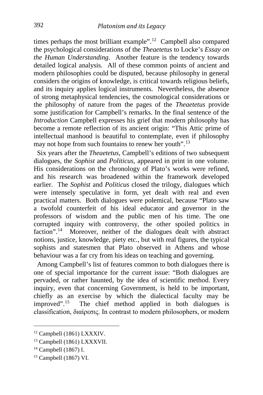times perhaps the most brilliant example".[12](#page-6-0) Campbell also compared the psychological considerations of the *Theaetetus* to Locke's *Essay on the Human Understanding*. Another feature is the tendency towards detailed logical analysis. All of these common points of ancient and modern philosophies could be disputed, because philosophy in general considers the origins of knowledge, is critical towards religious beliefs, and its inquiry applies logical instruments. Nevertheless, the absence of strong metaphysical tendencies, the cosmological considerations or the philosophy of nature from the pages of the *Theaetetus* provide some justification for Campbell's remarks. In the final sentence of the *Introduction* Campbell expresses his grief that modern philosophy has become a remote reflection of its ancient origin: "This Attic prime of intellectual manhood is beautiful to contemplate, even if philosophy may not hope from such fountains to renew her youth".<sup>[13](#page-6-1)</sup>

 Six years after the *Theaetetus*, Campbell's editions of two subsequent dialogues, the *Sophist* and *Politicus*, appeared in print in one volume. His considerations on the chronology of Plato's works were refined, and his research was broadened within the framework developed earlier. The *Sophist* and *Politicus* closed the trilogy, dialogues which were intensely speculative in form, yet dealt with real and even practical matters. Both dialogues were polemical, because "Plato saw a twofold counterfeit of his ideal educator and governor in the professors of wisdom and the public men of his time. The one corrupted inquiry with controversy, the other spoiled politics in faction".<sup>14</sup> Moreover, neither of the dialogues dealt with abstract notions, justice, knowledge, piety etc., but with real figures, the typical sophists and statesmen that Plato observed in Athens and whose behaviour was a far cry from his ideas on teaching and governing.

 Among Campbell's list of features common to both dialogues there is one of special importance for the current issue: "Both dialogues are pervaded, or rather haunted, by the idea of scientific method. Every inquiry, even that concerning Government, is held to be important, chiefly as an exercise by which the dialectical faculty may be improved".<sup>15</sup> The chief method applied in both dialogues is The chief method applied in both dialogues is classification, διαίρεσις. In contrast to modern philosophers, or modern

<span id="page-6-0"></span><sup>12</sup> Campbell (1861) LXXXIV.

<span id="page-6-1"></span><sup>13</sup> Campbell (1861) LXXXVII.

<span id="page-6-2"></span><sup>14</sup> Campbell (1867) I.

<span id="page-6-3"></span><sup>15</sup> Campbell (1867) VI.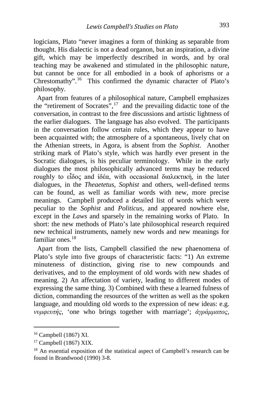logicians, Plato "never imagines a form of thinking as separable from thought. His dialectic is not a dead organon, but an inspiration, a divine gift, which may be imperfectly described in words, and by oral teaching may be awakened and stimulated in the philosophic nature, but cannot be once for all embodied in a book of aphorisms or a Chrestomathy".[16](#page-7-0) This confirmed the dynamic character of Plato's philosophy.

 Apart from features of a philosophical nature, Campbell emphasizes the "retirement of Socrates",  $17$  and the prevailing didactic tone of the conversation, in contrast to the free discussions and artistic lightness of the earlier dialogues. The language has also evolved. The participants in the conversation follow certain rules, which they appear to have been acquainted with; the atmosphere of a spontaneous, lively chat on the Athenian streets, in Agora, is absent from the *Sophist*. Another striking mark of Plato's style, which was hardly ever present in the Socratic dialogues, is his peculiar terminology. While in the early dialogues the most philosophically advanced terms may be reduced roughly to εἶδος and ἰδέα, with occasional διαλεκτική, in the later dialogues, in the *Theaetetus*, *Sophist* and others, well-defined terms can be found, as well as familiar words with new, more precise meanings. Campbell produced a detailed list of words which were peculiar to the *Sophist* and *Politicus*, and appeared nowhere else, except in the *Laws* and sparsely in the remaining works of Plato. In short: the new methods of Plato's late philosophical research required new technical instruments, namely new words and new meanings for familiar ones  $18$ 

 Apart from the lists, Campbell classified the new phaenomena of Plato's style into five groups of characteristic facts: "1) An extreme minuteness of distinction, giving rise to new compounds and derivatives, and to the employment of old words with new shades of meaning. 2) An affectation of variety, leading to different modes of expressing the same thing. 3) Combined with these a learned fulness of diction, commanding the resources of the written as well as the spoken language, and moulding old words to the expression of new ideas: e.g. *νυμφευτής*, 'one who brings together with marriage'; *ἀγράμματος*,

i,

<span id="page-7-0"></span><sup>16</sup> Campbell (1867) XI.

<span id="page-7-1"></span><sup>17</sup> Campbell (1867) XIX.

<span id="page-7-2"></span><sup>18</sup> An essential exposition of the statistical aspect of Campbell's research can be found in Brandwood (1990) 3-8.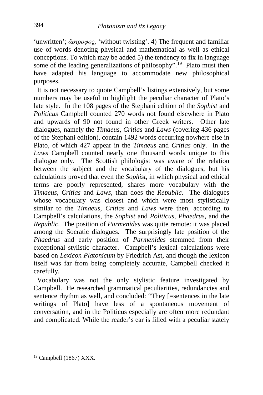'unwritten'; *ἄστροφος*, 'without twisting'. 4) The frequent and familiar use of words denoting physical and mathematical as well as ethical conceptions. To which may be added 5) the tendency to fix in language some of the leading generalizations of philosophy".<sup>19</sup> Plato must then have adapted his language to accommodate new philosophical purposes.

 It is not necessary to quote Campbell's listings extensively, but some numbers may be useful to highlight the peculiar character of Plato's late style. In the 108 pages of the Stephani edition of the *Sophist* and *Politicus* Campbell counted 270 words not found elsewhere in Plato and upwards of 90 not found in other Greek writers. Other late dialogues, namely the *Timaeus*, *Critias* and *Laws* (covering 436 pages of the Stephani edition), contain 1492 words occurring nowhere else in Plato, of which 427 appear in the *Timaeus* and *Critias* only. In the *Laws* Campbell counted nearly one thousand words unique to this dialogue only. The Scottish philologist was aware of the relation between the subject and the vocabulary of the dialogues, but his calculations proved that even the *Sophist*, in which physical and ethical terms are poorly represented, shares more vocabulary with the *Timaeus*, *Critias* and *Laws*, than does the *Republic*. The dialogues whose vocabulary was closest and which were most stylistically similar to the *Timaeus*, *Critias* and *Laws* were then, according to Campbell's calculations, the *Sophist* and *Politicus*, *Phaedrus*, and the *Republic*. The position of *Parmenides* was quite remote: it was placed among the Socratic dialogues. The surprisingly late position of the *Phaedrus* and early position of *Parmenides* stemmed from their exceptional stylistic character. Campbell's lexical calculations were based on *Lexicon Platonicum* by Friedrich Ast, and though the lexicon itself was far from being completely accurate, Campbell checked it carefully.

 Vocabulary was not the only stylistic feature investigated by Campbell. He researched grammatical peculiarities, redundancies and sentence rhythm as well, and concluded: "They [=sentences in the late writings of Plato] have less of a spontaneous movement of conversation, and in the Politicus especially are often more redundant and complicated. While the reader's ear is filled with a peculiar stately

<span id="page-8-0"></span><sup>19</sup> Campbell (1867) XXX.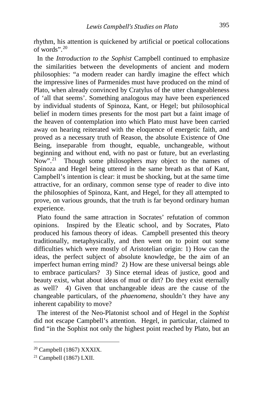rhythm, his attention is quickened by artificial or poetical collocations of words".[20](#page-9-0)

 In the *Introduction to the Sophist* Campbell continued to emphasize the similarities between the developments of ancient and modern philosophies: "a modern reader can hardly imagine the effect which the impressive lines of Parmenides must have produced on the mind of Plato, when already convinced by Cratylus of the utter changeableness of 'all that seems'. Something analogous may have been experienced by individual students of Spinoza, Kant, or Hegel; but philosophical belief in modern times presents for the most part but a faint image of the heaven of contemplation into which Plato must have been carried away on hearing reiterated with the eloquence of energetic faith, and proved as a necessary truth of Reason, the absolute Existence of One Being, inseparable from thought, equable, unchangeable, without beginning and without end, with no past or future, but an everlasting Now".<sup>[21](#page-9-1)</sup> Though some philosophers may object to the names of Spinoza and Hegel being uttered in the same breath as that of Kant, Campbell's intention is clear: it must be shocking, but at the same time attractive, for an ordinary, common sense type of reader to dive into the philosophies of Spinoza, Kant, and Hegel, for they all attempted to prove, on various grounds, that the truth is far beyond ordinary human experience.

 Plato found the same attraction in Socrates' refutation of common opinions. Inspired by the Eleatic school, and by Socrates, Plato produced his famous theory of ideas. Campbell presented this theory traditionally, metaphysically, and then went on to point out some difficulties which were mostly of Aristotelian origin: 1) How can the ideas, the perfect subject of absolute knowledge, be the aim of an imperfect human erring mind? 2) How are these universal beings able to embrace particulars? 3) Since eternal ideas of justice, good and beauty exist, what about ideas of mud or dirt? Do they exist eternally as well? 4) Given that unchangeable ideas are the cause of the changeable particulars, of the *phaenomena*, shouldn't they have any inherent capability to move?

 The interest of the Neo-Platonist school and of Hegel in the *Sophist* did not escape Campbell's attention. Hegel, in particular, claimed to find "in the Sophist not only the highest point reached by Plato, but an

<span id="page-9-0"></span> $20$  Campbell (1867) XXXIX.

<span id="page-9-1"></span> $21$  Campbell (1867) LXII.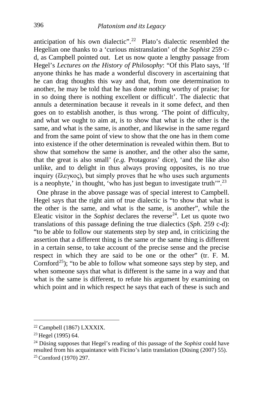anticipation of his own dialectic".<sup>22</sup> Plato's dialectic resembled the Hegelian one thanks to a 'curious mistranslation' of the *Sophist* 259 cd, as Campbell pointed out. Let us now quote a lengthy passage from Hegel's *Lectures on the History of Philosophy*: "Of this Plato says, 'If anyone thinks he has made a wonderful discovery in ascertaining that he can drag thoughts this way and that, from one determination to another, he may be told that he has done nothing worthy of praise; for in so doing there is nothing excellent or difficult'. The dialectic that annuls a determination because it reveals in it some defect, and then goes on to establish another, is thus wrong. 'The point of difficulty, and what we ought to aim at, is to show that what is the other is the same, and what is the same, is another, and likewise in the same regard and from the same point of view to show that the one has in them come into existence if the other determination is revealed within them. But to show that somehow the same is another, and the other also the same, that the great is also small' (*e.g.* Protagoras' dice), 'and the like also unlike, and to delight in thus always proving opposites, is no true inquiry (ἔλεγκος), but simply proves that he who uses such arguments is a neophyte,' in thought, 'who has just begun to investigate truth'".[23](#page-10-1)

 One phrase in the above passage was of special interest to Campbell. Hegel says that the right aim of true dialectic is "to show that what is the other is the same, and what is the same, is another", while the Eleatic visitor in the *Sophist* declares the reverse<sup>[24](#page-10-2)</sup>. Let us quote two translations of this passage defining the true dialectics (*Sph*. 259 c-d): "to be able to follow our statements step by step and, in criticizing the assertion that a different thing is the same or the same thing is different in a certain sense, to take account of the precise sense and the precise respect in which they are said to be one or the other" (tr. F. M. Cornford<sup>[25](#page-10-3)</sup>); "to be able to follow what someone says step by step, and when someone says that what is different is the same in a way and that what is the same is different, to refute his argument by examining on which point and in which respect he says that each of these is such and

<span id="page-10-0"></span><sup>22</sup> Campbell (1867) LXXXIX.

<span id="page-10-1"></span><sup>23</sup> Hegel (1995) 64.

<span id="page-10-3"></span><span id="page-10-2"></span><sup>24</sup> Düsing supposes that Hegel's reading of this passage of the *Sophist* could have resulted from his acquaintance with Ficino's latin translation (Düsing (2007) 55). <sup>25</sup> Cornford (1970) 297.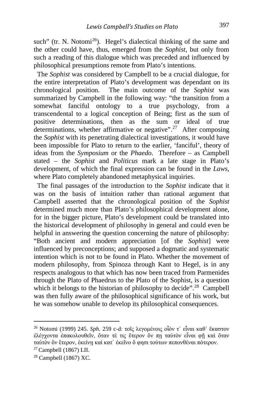such" (tr. N. Notomi<sup>26</sup>). Hegel's dialectical thinking of the same and the other could have, thus, emerged from the *Sophist*, but only from such a reading of this dialogue which was preceded and influenced by philosophical presumptions remote from Plato's intentions.

 The *Sophist* was considered by Campbell to be a crucial dialogue, for the entire interpretation of Plato's development was dependant on its chronological position. The main outcome of the *Sophist* was summarized by Campbell in the following way: "the transition from a somewhat fanciful ontology to a true psychology, from a transcendental to a logical conception of Being; first as the sum of positive determinations, then as the sum or ideal of true determinations, whether affirmative or negative".<sup>27</sup> After composing the *Sophist* with its penetrating dialectical investigations, it would have been impossible for Plato to return to the earlier, 'fanciful', theory of ideas from the *Symposium* or the *Phaedo*. Therefore – as Campbell stated – the *Sophist* and *Politicus* mark a late stage in Plato's development, of which the final expression can be found in the *Laws*, where Plato completely abandoned metaphysical inquiries.

 The final passages of the introduction to the *Sophist* indicate that it was on the basis of intuition rather than rational argument that Campbell asserted that the chronological position of the *Sophist* determined much more than Plato's philosophical development alone, for in the bigger picture, Plato's development could be translated into the historical development of philosophy in general and could even be helpful in answering the question concerning the nature of philosophy: "Both ancient and modern appreciation [of the *Sophist*] were influenced by preconceptions; and supposed a dogmatic and systematic intention which is not to be found in Plato. Whether the movement of modern philosophy, from Spinoza through Kant to Hegel, is in any respects analogous to that which has now been traced from Parmenides through the Plato of Phaedrus to the Plato of the Sophist, is a question which it belongs to the historian of philosophy to decide".<sup>28</sup> Campbell was then fully aware of the philosophical significance of his work, but he was somehow unable to develop its philosophical consequences.

<span id="page-11-0"></span><sup>26</sup> Notomi (1999) 245. *Sph*. 259 c-d: τοῖς λεγομένοις οἷόν τ᾽ εἶναι καθ᾽ ἕκαστον ἐλέγχοντα ἐπακολουθεῖν, ὅταν τέ τις ἕτερον ὄν πῃ ταὐτὸν εἶναι φῇ καὶ ὅταν ταὐτὸν ὂν ἕτερον, ἐκείνῃ καὶ κατ᾽ ἐκεῖνο ὅ φησι τούτων πεπονθέναι πότερον.

<span id="page-11-1"></span> $27$  Campbell (1867) LII.

<span id="page-11-2"></span> $28$  Campbell (1867) XC.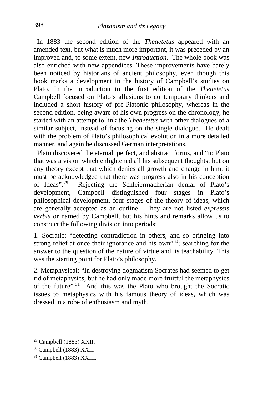In 1883 the second edition of the *Theaetetus* appeared with an amended text, but what is much more important, it was preceded by an improved and, to some extent, new *Introduction*. The whole book was also enriched with new appendices. These improvements have barely been noticed by historians of ancient philosophy, even though this book marks a development in the history of Campbell's studies on Plato. In the introduction to the first edition of the *Theaetetus* Campbell focused on Plato's allusions to contemporary thinkers and included a short history of pre-Platonic philosophy, whereas in the second edition, being aware of his own progress on the chronology, he started with an attempt to link the *Theaetetus* with other dialogues of a similar subject, instead of focusing on the single dialogue. He dealt with the problem of Plato's philosophical evolution in a more detailed manner, and again he discussed German interpretations.

 Plato discovered the eternal, perfect, and abstract forms, and "to Plato that was a vision which enlightened all his subsequent thoughts: but on any theory except that which denies all growth and change in him, it must be acknowledged that there was progress also in his conception of Ideas".[29](#page-12-0) Rejecting the Schleiermacherian denial of Plato's development, Campbell distinguished four stages in Plato's philosophical development, four stages of the theory of ideas, which are generally accepted as an outline. They are not listed *expressis verbis* or named by Campbell, but his hints and remarks allow us to construct the following division into periods:

1. Socratic: "detecting contradiction in others, and so bringing into strong relief at once their ignorance and his own<sup>30</sup>; searching for the answer to the question of the nature of virtue and its teachability. This was the starting point for Plato's philosophy.

2. Metaphysical: "In destroying dogmatism Socrates had seemed to get rid of metaphysics; but he had only made more fruitful the metaphysics of the future".[31](#page-12-2) And this was the Plato who brought the Socratic issues to metaphysics with his famous theory of ideas, which was dressed in a robe of enthusiasm and myth.

<span id="page-12-0"></span><sup>29</sup> Campbell (1883) XXII.

<span id="page-12-1"></span><sup>30</sup> Campbell (1883) XXII.

<span id="page-12-2"></span><sup>31</sup> Campbell (1883) XXIII.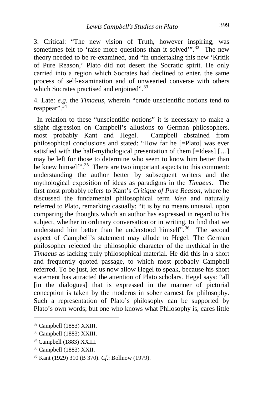3. Critical: "The new vision of Truth, however inspiring, was sometimes felt to 'raise more questions than it solved'".<sup>[32](#page-13-0)</sup> The new theory needed to be re-examined, and "in undertaking this new 'Kritik of Pure Reason,' Plato did not desert the Socratic spirit. He only carried into a region which Socrates had declined to enter, the same process of self-examination and of unwearied converse with others which Socrates practised and enjoined".<sup>[33](#page-13-1)</sup>

4. Late: *e.g.* the *Timaeus*, wherein "crude unscientific notions tend to reappear".<sup>[34](#page-13-2)</sup>

 In relation to these "unscientific notions" it is necessary to make a slight digression on Campbell's allusions to German philosophers, most probably Kant and Hegel. Campbell abstained from philosophical conclusions and stated: "How far he [=Plato] was ever satisfied with the half-mythological presentation of them [=Ideas] […] may be left for those to determine who seem to know him better than he knew himself".<sup>[35](#page-13-3)</sup> There are two important aspects to this comment: understanding the author better by subsequent writers and the mythological exposition of ideas as paradigms in the *Timaeus*. The first most probably refers to Kant's *Critique of Pure Reason*, where he discussed the fundamental philosophical term *idea* and naturally referred to Plato, remarking casually: "it is by no means unusual, upon comparing the thoughts which an author has expressed in regard to his subject, whether in ordinary conversation or in writing, to find that we understand him better than he understood himself".<sup>36</sup> The second aspect of Campbell's statement may allude to Hegel. The German philosopher rejected the philosophic character of the mythical in the *Timaeus* as lacking truly philosophical material. He did this in a short and frequently quoted passage, to which most probably Campbell referred. To be just, let us now allow Hegel to speak, because his short statement has attracted the attention of Plato scholars. Hegel says: "all [in the dialogues] that is expressed in the manner of pictorial conception is taken by the moderns in sober earnest for philosophy. Such a representation of Plato's philosophy can be supported by Plato's own words; but one who knows what Philosophy is, cares little

<span id="page-13-0"></span><sup>32</sup> Campbell (1883) XXIII.

<span id="page-13-1"></span><sup>33</sup> Campbell (1883) XXIII.

<span id="page-13-2"></span><sup>34</sup> Campbell (1883) XXIII.

<span id="page-13-3"></span><sup>35</sup> Campbell (1883) XXII.

<span id="page-13-4"></span><sup>36</sup> Kant (1929) 310 (B 370). *Cf*.: Bollnow (1979).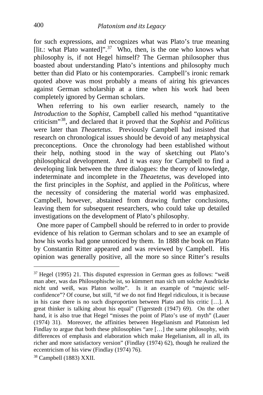for such expressions, and recognizes what was Plato's true meaning [lit.: what Plato wanted]".<sup>[37](#page-14-0)</sup> Who, then, is the one who knows what philosophy is, if not Hegel himself? The German philosopher thus boasted about understanding Plato's intentions and philosophy much better than did Plato or his contemporaries. Campbell's ironic remark quoted above was most probably a means of airing his grievances against German scholarship at a time when his work had been completely ignored by German scholars.

When referring to his own earlier research, namely to the *Introduction* to the *Sophist*, Campbell called his method "quantitative criticism"[38](#page-14-1), and declared that it proved that the *Sophist* and *Politicus* were later than *Theaetetus*. Previously Campbell had insisted that research on chronological issues should be devoid of any metaphysical preconceptions. Once the chronology had been established without their help, nothing stood in the way of sketching out Plato's philosophical development. And it was easy for Campbell to find a developing link between the three dialogues: the theory of knowledge, indeterminate and incomplete in the *Theaetetus*, was developed into the first principles in the *Sophist*, and applied in the *Politicus*, where the necessity of considering the material world was emphasized. Campbell, however, abstained from drawing further conclusions, leaving them for subsequent researchers, who could take up detailed investigations on the development of Plato's philosophy.

 One more paper of Campbell should be referred to in order to provide evidence of his relation to German scholars and to see an example of how his works had gone unnoticed by them. In 1888 the book on Plato by Constantin Ritter appeared and was reviewed by Campbell. His opinion was generally positive, all the more so since Ritter's results

<span id="page-14-0"></span> $37$  Hegel (1995) 21. This disputed expression in German goes as follows: "weiß man aber, was das Philosophische ist, so kümmert man sich um solche Ausdrücke nicht und weiß, was Platon wollte". Is it an example of "majestic selfconfidence"? Of course, but still, "if we do not find Hegel ridiculous, it is because in his case there is no such disproportion between Plato and his critic […]. A great thinker is talking about his equal" (Tigerstedt (1947) 69). On the other hand, it is also true that Hegel "misses the point of Plato's use of myth" (Lauer (1974) 31). Moreover, the affinities between Hegelianism and Platonism led Findlay to argue that both these philosophies "are […] the same philosophy, with differences of emphasis and elaboration which make Hegelianism, all in all, its richer and more satisfactory version" (Findlay (1974) 62), though he realized the eccentricism of his view (Findlay (1974) 76).

<span id="page-14-1"></span><sup>38</sup> Campbell (1883) XXII.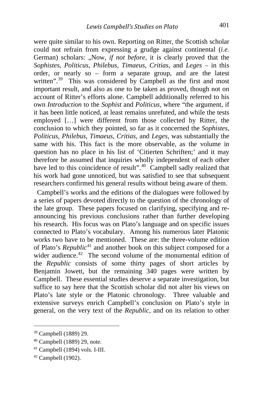were quite similar to his own. Reporting on Ritter, the Scottish scholar could not refrain from expressing a grudge against continental (*i.e.* German) scholars: ..Now, *if not before*, it is clearly proved that the *Sophistes*, *Politicus*, *Philebus*, *Timaeus*, *Critias*, and *Leges* – in this order, or nearly so – form a separate group, and are the latest written".<sup>[39](#page-15-0)</sup> This was considered by Campbell as the first and most important result, and also as one to be taken as proved, though not on account of Ritter's efforts alone. Campbell additionally referred to his own *Introduction* to the *Sophist* and *Politicus*, where "the argument, if it has been little noticed, at least remains unrefuted, and while the tests employed […] were different from those collected by Ritter, the conclusion to which they pointed, so far as it concerned the *Sophistes*, *Politicus*, *Philebus*, *Timaeus*, *Critias*, and *Leges*, was substantially the same with his. This fact is the more observable, as the volume in question has no place in his list of 'Citierten Schriften;' and it may therefore be assumed that inquiries wholly independent of each other have led to this coincidence of result".<sup>[40](#page-15-1)</sup> Campbell sadly realized that his work had gone unnoticed, but was satisfied to see that subsequent researchers confirmed his general results without being aware of them.

 Campbell's works and the editions of the dialogues were followed by a series of papers devoted directly to the question of the chronology of the late group. These papers focused on clarifying, specifying and reannouncing his previous conclusions rather than further developing his research. His focus was on Plato's language and on specific issues connected to Plato's vocabulary. Among his numerous later Platonic works two have to be mentioned. These are: the three-volume edition of Plato's *Republic*[41](#page-15-2) and another book on this subject composed for a wider audience.<sup>[42](#page-15-3)</sup> The second volume of the monumental edition of the *Republic* consists of some thirty pages of short articles by Benjamin Jowett, but the remaining 340 pages were written by Campbell. These essential studies deserve a separate investigation, but suffice to say here that the Scottish scholar did not alter his views on Plato's late style or the Platonic chronology. Three valuable and extensive surveys enrich Campbell's conclusion on Plato's style in general, on the very text of the *Republic*, and on its relation to other

<span id="page-15-0"></span><sup>39</sup> Campbell (1889) 29.

<span id="page-15-1"></span><sup>40</sup> Campbell (1889) 29, note.

<span id="page-15-2"></span><sup>41</sup> Campbell (1894) vols. I-III.

<span id="page-15-3"></span> $42$  Campbell (1902).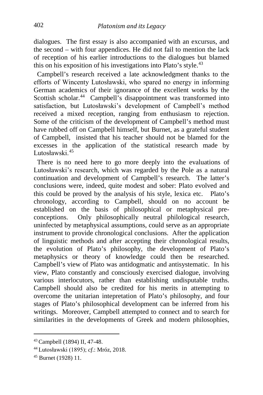dialogues. The first essay is also accompanied with an excursus, and the second – with four appendices. He did not fail to mention the lack of reception of his earlier introductions to the dialogues but blamed this on his exposition of his investigations into Plato's style. $43$ 

 Campbell's research received a late acknowledgment thanks to the efforts of Wincenty Lutosławski, who spared no energy in informing German academics of their ignorance of the excellent works by the Scottish scholar.<sup>44</sup> Campbell's disappointment was transformed into satisfaction, but Lutosławski's development of Campbell's method received a mixed reception, ranging from enthusiasm to rejection. Some of the criticism of the development of Campbell's method must have rubbed off on Campbell himself, but Burnet, as a grateful student of Campbell, insisted that his teacher should not be blamed for the excesses in the application of the statistical research made by Lutosławski<sup>[45](#page-16-2)</sup>

 There is no need here to go more deeply into the evaluations of Lutosławski's research, which was regarded by the Pole as a natural continuation and development of Campbell's research. The latter's conclusions were, indeed, quite modest and sober: Plato evolved and this could be proved by the analysis of his style, lexica etc. Plato's chronology, according to Campbell, should on no account be established on the basis of philosophical or metaphysical preconceptions. Only philosophically neutral philological research, uninfected by metaphysical assumptions, could serve as an appropriate instrument to provide chronological conclusions. After the application of linguistic methods and after accepting their chronological results, the evolution of Plato's philosophy, the development of Plato's metaphysics or theory of knowledge could then be researched. Campbell's view of Plato was antidogmatic and antisystematic. In his view, Plato constantly and consciously exercised dialogue, involving various interlocutors, rather than establishing undisputable truths. Campbell should also be credited for his merits in attempting to overcome the unitarian intepretation of Plato's philosophy, and four stages of Plato's philosophical development can be inferred from his writings. Moreover, Campbell attempted to connect and to search for similarities in the developments of Greek and modern philosophies,

<span id="page-16-0"></span><sup>43</sup> Campbell (1894) II, 47-48.

<span id="page-16-1"></span><sup>44</sup> Lutosławski (1895); *cf*.: Mróz, 2018.

<span id="page-16-2"></span><sup>45</sup> Burnet (1928) 11.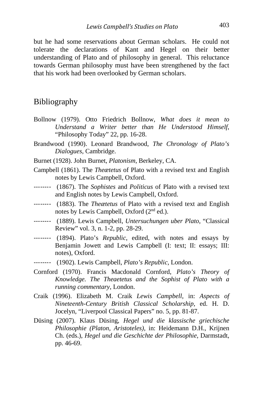but he had some reservations about German scholars. He could not tolerate the declarations of Kant and Hegel on their better understanding of Plato and of philosophy in general. This reluctance towards German philosophy must have been strengthened by the fact that his work had been overlooked by German scholars.

#### Bibliography

- Bollnow (1979). Otto Friedrich Bollnow, *What does it mean to Understand a Writer better than He Understood Himself*, "Philosophy Today" 22, pp. 16-28.
- Brandwood (1990). Leonard Brandwood, *The Chronology of Plato's Dialogues*, Cambridge.
- Burnet (1928). John Burnet, *Platonism*, Berkeley, CA.
- Campbell (1861). The *Theætetus* of Plato with a revised text and English notes by Lewis Campbell, Oxford.
- -------- (1867). The *Sophistes* and *Politicus* of Plato with a revised text and English notes by Lewis Campbell, Oxford.
- -------- (1883). The *Theætetus* of Plato with a revised text and English notes by Lewis Campbell, Oxford (2nd ed.).
- -------- (1889). Lewis Campbell, *Untersuchungen uber Plato*, "Classical Review" vol. 3, n. 1-2, pp. 28-29.
- -------- (1894). Plato's *Republic*, edited, with notes and essays by Benjamin Jowett and Lewis Campbell (I: text; II: essays; III: notes), Oxford.
- -------- (1902). Lewis Campbell, *Plato's Republic*, London.
- Cornford (1970). Francis Macdonald Cornford, *Plato's Theory of Knowledge. The Theaetetus and the Sophist of Plato with a running commentary*, London.
- Craik (1996). Elizabeth M. Craik *Lewis Campbell*, in: *Aspects of Nineteenth-Century British Classical Scholarship*, ed. H. D. Jocelyn, "Liverpool Classical Papers" no. 5, pp. 81-87.
- Düsing (2007). Klaus Düsing, *Hegel und die klassische griechische Philosophie (Platon, Aristoteles)*, in: Heidemann D.H., Krijnen Ch. (eds.), *Hegel und die Geschichte der Philosophie*, Darmstadt, pp. 46-69.